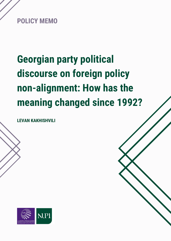

# **Georgian party political discourse on foreign policy non-alignment: How has the meaning changed since 1992?**

**LEVAN KAKHISHVILI**

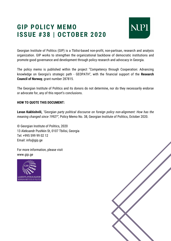## **GIP POLICY MEMO ISSUE #38 | OCTOBER 2020**



Georgian Institute of Politics (GIP) is a Tbilisi-based non-profit, non-partisan, research and analysis organization. GIP works to strengthen the organizational backbone of democratic institutions and promote good governance and development through policy research and advocacy in Georgia.

The policy memo is published within the project "Competency through Cooperation: Advancing knowledge on Georgia's strategic path - GEOPATH", with the financial support of the **Research Council of Norway**, grant number 287815.

The Georgian Institute of Politics and its donors do not determine, nor do they necessarily endorse or advocate for, any of this report's conclusions.

#### **HOW TO QUOTE THIS DOCUMENT:**

**Levan Kakhishvili,** *"Georgian party political discourse on foreign policy non-alignment: How has the meaning changed since 1992?",* Policy Memo No. 38, Georgian Institute of Politics, October 2020.

© Georgian Institute of Politics, 2020 13 Aleksandr Pushkin St, 0107 Tbilisi, Georgia Tel: +995 599 99 02 12 Email: info@gip.ge

For more information, please visit www.gip.ge



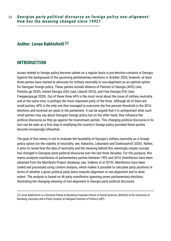### **Author: Levan Kakhishvili [1]**

#### **INTRODUCTION**

Issues related to foreign policy become salient on a regular basis in pre-election contexts in Georgia. Against the background of the upcoming parliamentary elections in October 2020, however, at least three parties have started to advocate for military neutrality or non-alignment as an optimal option for Georgian foreign policy. These parties include Alliance of Patriots of Georgia (APG) (see, Patriots.ge 2020), United Georgia (UG) (see, Liberali 2016), and Free Georgia (FG) (see, Freegeorgia,ge 2020). Out of these three APG is the most vocal about the issue of military neutrality and at the same time, is perhaps the most important party of the three. Although all of them are small parties, APG is the only one that managed to overcome the five percent threshold in the 2016 elections and received six seats in the parliament. It can be argued that it is unimportant what such small parties may say about Georgian foreign policy but on the other hand, they influence the political discourse as they go against the mainstream parties. This changing political discourse in its turn can be seen as a first step in modifying the country's foreign policy provided these parties become increasingly influential.

The goal of this memo is not to evaluate the feasibility of Georgia's military neutrality as a foreign policy option (on the viability of neutrality, see, Kakachia, Lebanidze and Dzebisashvili 2020). Rather, it aims to reveal how the idea of neutrality and the meaning behind this seemingly simple concept has changed in Georgian party political discourse over the last three decades. For this purpose, this memo analyzes manifestos of parliamentary parties between 1992 and 2016 (manifestos have been obtained from the Manifesto Project database, see, Volkens et al 2019). Manifestos have been coded and processed using content analysis, which makes it possible to calculate party positions in terms of whether a given political party leans towards alignment or non-alignment and to what extent. The analysis is based on 46 party manifestos spanning seven parliamentary elections illustrating the changing meaning of non-alignment in Georgia party political discourse.

[1] Levan Kakhishvili is a Doctoral Fellow at Bamberg Graduate School of Social Sciences (BAGSS) at the University of Bamberg, Germany and a Policy Analyst at Georgian Institute of Politics (GIP).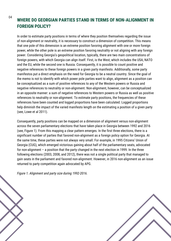### **WHERE DO GEORGIAN PARTIES STAND IN TERMS OF NON-ALIGNMENT IN FOREIGN POLICY?**

In order to estimate party positions in terms of where they position themselves regarding the issue of non-alignment or neutrality, it is necessary to construct a dimension of competition. This means that one pole of this dimension is an extreme position favoring alignment with one or more foreign power, while the other pole is an extreme position favoring neutrality or not aligning with any foreign power. Considering Georgia's geopolitical location, typically, there are two main concentrations of foreign powers, with which Georgia can align itself. First, is the West, which includes the USA, NATO and the EU, while the second one is Russia. Consequently, it is possible to count positive and negative references to these foreign powers in a given party manifesto. Additionally, some party manifestos put a direct emphasis on the need for Georgia to be a neutral country. Since the goal of the memo is not to identify with which power pole parties want to align, alignment as a position can be conceptualized as a sum of positive references to any of the Western powers or Russia and negative references to neutrality or non-alignment. Non-alignment, however, can be conceptualized in an opposite manner: a sum of negative references to Western powers or Russia as well as positive references to neutrality or non-alignment. To estimate party positions, the frequencies of these references have been counted and logged proportions have been calculated. Logged proportions help diminish the impact of the varied manifesto length on the estimating a position of a given party (see, Lowe et al 2011).

Consequently, party positions can be mapped on a dimension of alignment versus non-alignment across the seven parliamentary elections that have taken place in Georgia between 1992 and 2016 (see, Figure 1). From this mapping a clear pattern emerges. In the first three elections, there is a significant number of parties that favored non-alignment as a foreign policy option for Georgia. At the same time, these parties were not always very small. For example, in 1995 Citizens' Union of Georgia (CUG), which emerged victorious gaining about half of the parliamentary seats, advocated for non-alignment – a position that the party changed in the next election in 1999. In the three following elections (2003, 2008, and 2012), there was not a single political party that managed to gain seats in the parliament and favored non-alignment. However, in 2016 non-alignment as an issue returned to party competition again advocated by APG.

*Figure 1. Alignment and party size during 1992-2016.*



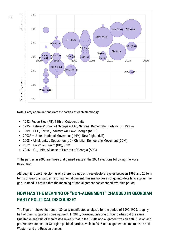

Note: Party abbreviations (largest parties of each elections):

- 1992: Peace Bloc (PB), 11th of October, Unity
- 1995 Citizens' Union of Georgia (CUG), National Democratic Party (NDP), Revival
- 1999 CUG, Revival, Industry Will Save Georgia (IWSG)
- 2003\* United National Movement (UNM), New Rights (NR)
- 2008 UNM, United Opposition (UO), Christian Democratic Movement (CDM)
- 2012 Georgian Dream (GD), UNM
- 2016 GD, UNM, Alliance of Patriots of Georgia (APG)

\* The parties in 2003 are those that gained seats in the 2004 elections following the Rose Revolution.

Although it is worth exploring why there is a gap of three electoral cycles between 1999 and 2016 in terms of Georgian parties favoring non-alignment, this memo does not go into details to explain the gap. Instead, it argues that the meaning of non-alignment has changed over this period.

## **HOW HAS THE MEANING OF "NON-ALIGNMENT" CHANGED IN GEORGIAN PARTY POLITICAL DISCOURSE?**

The Figure 1 shows that out of 30 party manifestos analyzed for the period of 1992-1999, roughly, half of them supported non-alignment. In 2016, however, only one of four parties did the same. Qualitative analysis of manifestos reveals that in the 1990s non-alignment was an anti-Russian and pro-Western stance for Georgian political parties, while in 2016 non-alignment seems to be an anti-Western and pro-Russian stance.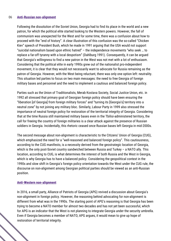#### 06 **Anti-Russian non-alignment**

Following the dissolution of the Soviet Union, Georgia had to find its place in the world and a new patron, for which the political elite started looking to the Western powers. However, the fall of communism was unexpected for the West and for some time, there was a confusion about how to proceed with the "end of history". A clear illustration of this confusion was the so-called "Chicken Kiev" speech of President Bush, which he made in 1991 arguing that the USA would not support "suicidal nationalism based upon ethnic hatred" – the independence movements "who seek … to replace a far-off tyranny with a local despotism" (Dahlburg 1991). Consequently, it can be argued that Georgia's willingness to find a new patron in the West was not met with a lot of enthusiasm. Considering that the political elite in early 1990s grew out of the nationalist pro-independent movement, it is clear that they would not necessarily want to advocate for Russia remaining as the patron of Georgia. However, with the West being reluctant, there was only one option left: neutrality. This situation led parties to focus on two main messages: the need to free Georgia of foreign military bases and personnel and the need to implement a cautious and balanced foreign policy.

Parties such as the Union of Traditionalists, Merab Kostava Society, Social Justice Union, etc. in 1992 all stressed that primary goal of Georgian foreign policy should have been ensuring the "liberation [of Georgia] from foreign military forces" and "turning its [Georgia's] territory into a neutral zone" by not joining any military bloc. Similarly, Labour Party in 1999 also stressed the importance of neutral foreign policy for restoration of the territorial integrity of Georgia. Considering that at the time Russia still maintained military bases even in the Tbilisi-administered territory, the call for freeing the country of foreign militaries is a clear attack against the presence of Russian soldiers in Georgia. Incidentally, this rhetoric ceased once Russian bases left Georgia in mid-2000s.

The second message about non-alignment is characteristic to the Citizens' Union of Georgia (CUG), which emphasized the need for a "well-reasoned and balanced foreign policy". This cautiousness, according to the CUG manifesto, is a necessity derived from the geostrategic location of Georgia, which is the only post-Soviet country sandwiched between Russia and Turkey – a NATO ally. This location, according to CUG, is what determines the interest of both Russia and the West in Georgia, which is why Georgia has to have a balanced policy. Considering the geopolitical context in the 1990s and slow shift in Georgia's foreign policy orientation towards the West under the CUG rule, the discourse on non-alignment among Georgian political parties should be viewed as an anti-Russian position.

#### **Anti-Western non-alignment**

In 2016, a small party, Alliance of Patriots of Georgia (APG) revived a discussion about Georgia's non-alignment in foreign policy. However, the reasoning behind advocating for non-alignment is different from what was in the 1990s. The starting point of APG's reasoning is that Georgia has been trying to become a NATO member for almost two decades and has not yet been successful, which for APG is an indicator that the West is not planning to integrate Georgia under the security umbrella. Even if Georgia becomes a member of NATO, APG argues, it would mean to give up hope of restoration of territorial integrity.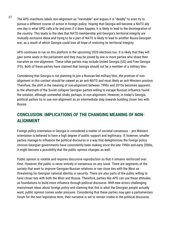The APG manifesto labels non-alignment as "inevitable" and argues it is "deadly" to even try to pursue a different course of action in foreign policy. Hoping that Georgia will become a NATO ally one day is what APG calls a lie and even if it does happen, it is likely to lead to the disintegration of the country. This leads to the idea that NATO membership and Georgia's territorial integrity are mutually exclusive ideas and trying to be a part of NATO is likely to lead to another Russo-Georgian war, as a result of which Georgia could lose all hope of restoring its territorial integrity. 07

APG continues to run on this platform in the upcoming 2020 elections too. It is likely that they will gain some seats in the parliament and they may be joined by one or more parties who share their narrative on non-alignment. These other parties may include United Georgia (UG) and Free Georgia (FG). Both of these parties have claimed that Georgia should not be a member of a military bloc.

Considering that Georgia is not planning to join a Russian-led military bloc, the promise of nonalignment in this context should be viewed as an anti-NATO and most likely an anti-Western position. Therefore, the shift in the meaning of non-alignment between 1990s and 2010s becomes apparent. In the aftermath of the Soviet collapse Georgian parties willing to escape Russian influence found the solution, although somewhat shaky perhaps, in non-alignment. However, in today's Georgia, political parties try to use non-alignment as an intermediate step towards building closer ties with Russia.

## **CONCLUSION: IMPLICATIONS OF THE CHANGING MEANING OF NON-ALIGNMENT**

Foreign policy orientation in Georgia is considered a matter of societal consensus – pro-Western orientation is believed to have a high degree of public support and legitimacy. If, however, smaller parties manage to influence the political discourse in a way that delegitimizes the foreign policy choices Georgian governments have consistently been making since the late 1990s and early 2000s, it might become a possibility that the public opinion changes as well.

Public opinion is volatile and requires discursive reproduction so that it remains reinforced over time. However, the public is never entirely in consensus on any issue. There are segments of the society that want to improve Georgian-Russian relations or see close ties with the West as threatening for Georgian national identity or security. There are also parts of the public willing to have closer ties with both the West and Russia. Therefore, parties like APG can use these attitudes as foundations to build more influence through political discourse. With new actors challenging mainstream ideas about foreign policy and claiming that this is what the Georgian people actually want, public opinion comes under pressure. Considering that these parties may gain a parliamentary forum for the next legislative term, their narrative is set to remain visible in the political discourse.